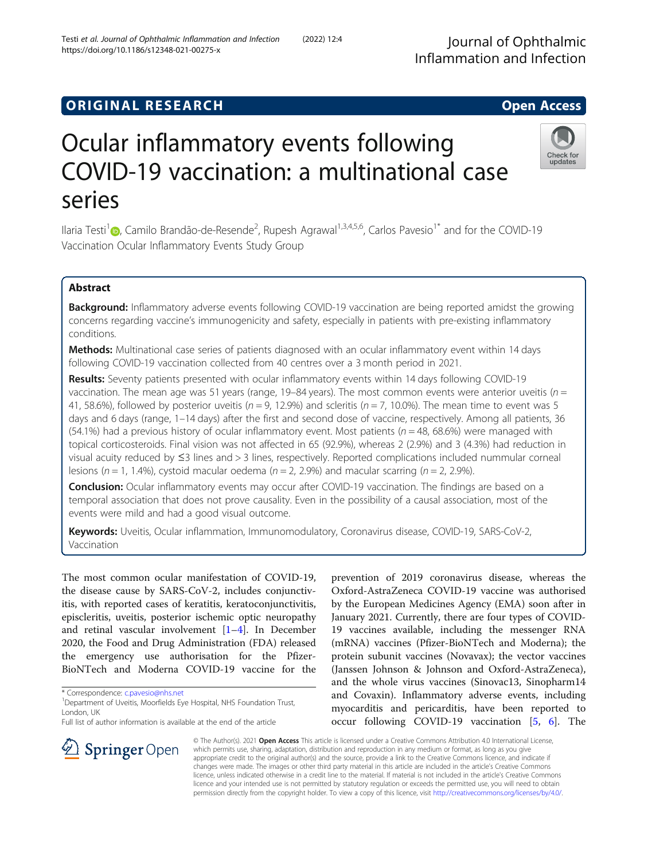## **ORIGINAL RESEARCH CONSUMING ACCESS**

# Ocular inflammatory events following COVID-19 vaccination: a multinational case series

Ilaria Testi<sup>[1](http://orcid.org/0000-0003-1711-033X)</sup> (**p**, Camilo Brandão-de-Resende<sup>2</sup>, Rupesh Agrawal<sup>1,3,4,5,6</sup>, Carlos Pavesio<sup>1\*</sup> and for the COVID-19 Vaccination Ocular Inflammatory Events Study Group

## Abstract

Background: Inflammatory adverse events following COVID-19 vaccination are being reported amidst the growing concerns regarding vaccine's immunogenicity and safety, especially in patients with pre-existing inflammatory conditions.

Methods: Multinational case series of patients diagnosed with an ocular inflammatory event within 14 days following COVID-19 vaccination collected from 40 centres over a 3 month period in 2021.

Results: Seventy patients presented with ocular inflammatory events within 14 days following COVID-19 vaccination. The mean age was 51 years (range, 19–84 years). The most common events were anterior uveitis ( $n =$ 41, 58.6%), followed by posterior uveitis ( $n = 9$ , 12.9%) and scleritis ( $n = 7$ , 10.0%). The mean time to event was 5 days and 6 days (range, 1–14 days) after the first and second dose of vaccine, respectively. Among all patients, 36 (54.1%) had a previous history of ocular inflammatory event. Most patients ( $n = 48$ , 68.6%) were managed with topical corticosteroids. Final vision was not affected in 65 (92.9%), whereas 2 (2.9%) and 3 (4.3%) had reduction in visual acuity reduced by ≤3 lines and > 3 lines, respectively. Reported complications included nummular corneal lesions ( $n = 1$ , 1.4%), cystoid macular oedema ( $n = 2$ , 2.9%) and macular scarring ( $n = 2$ , 2.9%).

**Conclusion:** Ocular inflammatory events may occur after COVID-19 vaccination. The findings are based on a temporal association that does not prove causality. Even in the possibility of a causal association, most of the events were mild and had a good visual outcome.

Keywords: Uveitis, Ocular inflammation, Immunomodulatory, Coronavirus disease, COVID-19, SARS-CoV-2, Vaccination

The most common ocular manifestation of COVID-19, the disease cause by SARS-CoV-2, includes conjunctivitis, with reported cases of keratitis, keratoconjunctivitis, episcleritis, uveitis, posterior ischemic optic neuropathy and retinal vascular involvement [\[1](#page-5-0)–[4](#page-5-0)]. In December 2020, the Food and Drug Administration (FDA) released the emergency use authorisation for the Pfizer-BioNTech and Moderna COVID-19 vaccine for the

\* Correspondence: [c.pavesio@nhs.net](mailto:c.pavesio@nhs.net) <sup>1</sup>

 $\mathcal{L}$  Springer Open

<sup>1</sup> Department of Uveitis, Moorfields Eye Hospital, NHS Foundation Trust, London, UK

Full list of author information is available at the end of the article

prevention of 2019 coronavirus disease, whereas the Oxford-AstraZeneca COVID-19 vaccine was authorised by the European Medicines Agency (EMA) soon after in January 2021. Currently, there are four types of COVID-19 vaccines available, including the messenger RNA (mRNA) vaccines (Pfizer-BioNTech and Moderna); the protein subunit vaccines (Novavax); the vector vaccines (Janssen Johnson & Johnson and Oxford-AstraZeneca), and the whole virus vaccines (Sinovac13, Sinopharm14 and Covaxin). Inflammatory adverse events, including myocarditis and pericarditis, have been reported to occur following COVID-19 vaccination [[5,](#page-5-0) [6](#page-5-0)]. The

© The Author(s). 2021 Open Access This article is licensed under a Creative Commons Attribution 4.0 International License, which permits use, sharing, adaptation, distribution and reproduction in any medium or format, as long as you give appropriate credit to the original author(s) and the source, provide a link to the Creative Commons licence, and indicate if changes were made. The images or other third party material in this article are included in the article's Creative Commons licence, unless indicated otherwise in a credit line to the material. If material is not included in the article's Creative Commons licence and your intended use is not permitted by statutory regulation or exceeds the permitted use, you will need to obtain permission directly from the copyright holder. To view a copy of this licence, visit <http://creativecommons.org/licenses/by/4.0/>.



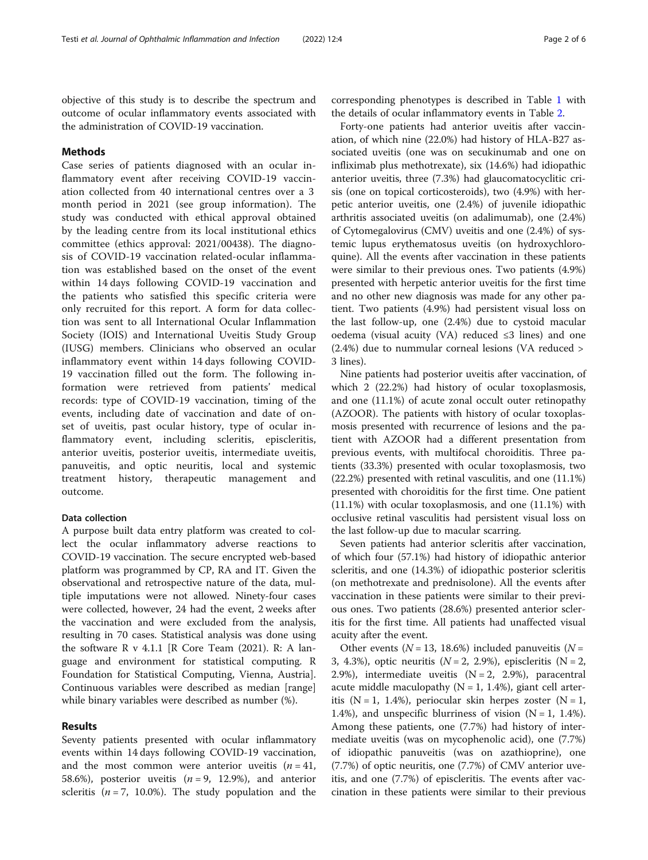objective of this study is to describe the spectrum and outcome of ocular inflammatory events associated with the administration of COVID-19 vaccination.

## **Methods**

Case series of patients diagnosed with an ocular inflammatory event after receiving COVID-19 vaccination collected from 40 international centres over a 3 month period in 2021 (see group information). The study was conducted with ethical approval obtained by the leading centre from its local institutional ethics committee (ethics approval: 2021/00438). The diagnosis of COVID-19 vaccination related-ocular inflammation was established based on the onset of the event within 14 days following COVID-19 vaccination and the patients who satisfied this specific criteria were only recruited for this report. A form for data collection was sent to all International Ocular Inflammation Society (IOIS) and International Uveitis Study Group (IUSG) members. Clinicians who observed an ocular inflammatory event within 14 days following COVID-19 vaccination filled out the form. The following information were retrieved from patients' medical records: type of COVID-19 vaccination, timing of the events, including date of vaccination and date of onset of uveitis, past ocular history, type of ocular inflammatory event, including scleritis, episcleritis, anterior uveitis, posterior uveitis, intermediate uveitis, panuveitis, and optic neuritis, local and systemic treatment history, therapeutic management and outcome.

## Data collection

A purpose built data entry platform was created to collect the ocular inflammatory adverse reactions to COVID-19 vaccination. The secure encrypted web-based platform was programmed by CP, RA and IT. Given the observational and retrospective nature of the data, multiple imputations were not allowed. Ninety-four cases were collected, however, 24 had the event, 2 weeks after the vaccination and were excluded from the analysis, resulting in 70 cases. Statistical analysis was done using the software R v 4.1.1 [R Core Team (2021). R: A language and environment for statistical computing. R Foundation for Statistical Computing, Vienna, Austria]. Continuous variables were described as median [range] while binary variables were described as number (%).

## Results

Seventy patients presented with ocular inflammatory events within 14 days following COVID-19 vaccination, and the most common were anterior uveitis  $(n = 41,$ 58.6%), posterior uveitis  $(n = 9, 12.9%)$ , and anterior scleritis ( $n = 7$ , 10.0%). The study population and the corresponding phenotypes is described in Table [1](#page-2-0) with the details of ocular inflammatory events in Table [2](#page-3-0).

Forty-one patients had anterior uveitis after vaccination, of which nine (22.0%) had history of HLA-B27 associated uveitis (one was on secukinumab and one on infliximab plus methotrexate), six (14.6%) had idiopathic anterior uveitis, three (7.3%) had glaucomatocyclitic crisis (one on topical corticosteroids), two (4.9%) with herpetic anterior uveitis, one (2.4%) of juvenile idiopathic arthritis associated uveitis (on adalimumab), one (2.4%) of Cytomegalovirus (CMV) uveitis and one (2.4%) of systemic lupus erythematosus uveitis (on hydroxychloroquine). All the events after vaccination in these patients were similar to their previous ones. Two patients (4.9%) presented with herpetic anterior uveitis for the first time and no other new diagnosis was made for any other patient. Two patients (4.9%) had persistent visual loss on the last follow-up, one (2.4%) due to cystoid macular oedema (visual acuity (VA) reduced ≤3 lines) and one (2.4%) due to nummular corneal lesions (VA reduced > 3 lines).

Nine patients had posterior uveitis after vaccination, of which 2 (22.2%) had history of ocular toxoplasmosis, and one (11.1%) of acute zonal occult outer retinopathy (AZOOR). The patients with history of ocular toxoplasmosis presented with recurrence of lesions and the patient with AZOOR had a different presentation from previous events, with multifocal choroiditis. Three patients (33.3%) presented with ocular toxoplasmosis, two (22.2%) presented with retinal vasculitis, and one (11.1%) presented with choroiditis for the first time. One patient (11.1%) with ocular toxoplasmosis, and one (11.1%) with occlusive retinal vasculitis had persistent visual loss on the last follow-up due to macular scarring.

Seven patients had anterior scleritis after vaccination, of which four (57.1%) had history of idiopathic anterior scleritis, and one (14.3%) of idiopathic posterior scleritis (on methotrexate and prednisolone). All the events after vaccination in these patients were similar to their previous ones. Two patients (28.6%) presented anterior scleritis for the first time. All patients had unaffected visual acuity after the event.

Other events ( $N = 13, 18.6\%$ ) included panuveitis ( $N =$ 3, 4.3%), optic neuritis  $(N = 2, 2.9%)$ , episcleritis  $(N = 2, 1.9%)$ 2.9%), intermediate uveitis  $(N = 2, 2.9%)$ , paracentral acute middle maculopathy ( $N = 1$ , 1.4%), giant cell arteritis ( $N = 1$ , 1.4%), periocular skin herpes zoster ( $N = 1$ , 1.4%), and unspecific blurriness of vision  $(N = 1, 1.4$ %). Among these patients, one (7.7%) had history of intermediate uveitis (was on mycophenolic acid), one (7.7%) of idiopathic panuveitis (was on azathioprine), one (7.7%) of optic neuritis, one (7.7%) of CMV anterior uveitis, and one (7.7%) of episcleritis. The events after vaccination in these patients were similar to their previous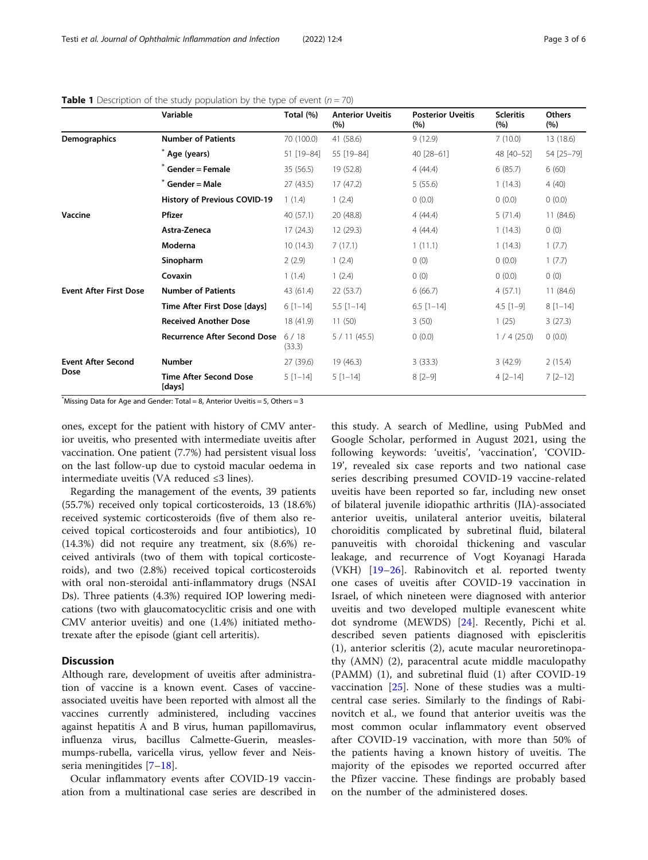|                               | Variable                                | Total (%)      | <b>Anterior Uveitis</b><br>(%) | <b>Posterior Uveitis</b><br>(%) | <b>Scleritis</b><br>(%) | <b>Others</b><br>(%) |
|-------------------------------|-----------------------------------------|----------------|--------------------------------|---------------------------------|-------------------------|----------------------|
| Demographics                  | <b>Number of Patients</b>               | 70 (100.0)     | 41 (58.6)                      | 9(12.9)                         | 7(10.0)                 | 13 (18.6)            |
|                               | Age (years)                             | 51 [19-84]     | 55 [19-84]                     | 40 [28-61]                      | 48 [40-52]              | 54 [25-79]           |
|                               | Gender = Female                         | 35(56.5)       | 19 (52.8)                      | 4(44.4)                         | 6(85.7)                 | 6(60)                |
|                               | Gender = Male                           | 27 (43.5)      | 17(47.2)                       | 5(55.6)                         | 1(14.3)                 | 4(40)                |
|                               | History of Previous COVID-19            | 1(1.4)         | 1(2.4)                         | (0.0)                           | (0.0)                   | 0(0.0)               |
| Vaccine                       | Pfizer                                  | 40(57.1)       | 20 (48.8)                      | 4(44.4)                         | 5(71.4)                 | 11(84.6)             |
|                               | Astra-Zeneca                            | 17(24.3)       | 12(29.3)                       | 4(44.4)                         | 1(14.3)                 | 0(0)                 |
|                               | Moderna                                 | 10(14.3)       | 7(17.1)                        | 1(11.1)                         | 1(14.3)                 | 1(7.7)               |
|                               | Sinopharm                               | 2(2.9)         | 1(2.4)                         | 0(0)                            | (0.0)                   | 1(7.7)               |
|                               | Covaxin                                 | 1(1.4)         | 1(2.4)                         | 0(0)                            | 0(0.0)                  | 0(0)                 |
| <b>Event After First Dose</b> | <b>Number of Patients</b>               | 43 (61.4)      | 22(53.7)                       | 6(66.7)                         | 4(57.1)                 | 11(84.6)             |
|                               | Time After First Dose [days]            | $6[1-14]$      | $5.5$ [1-14]                   | $6.5$ [1-14]                    | $4.5$ [1-9]             | $8[1-14]$            |
|                               | <b>Received Another Dose</b>            | 18 (41.9)      | 11(50)                         | 3(50)                           | 1(25)                   | 3(27.3)              |
|                               | <b>Recurrence After Second Dose</b>     | 6/18<br>(33.3) | 5/11(45.5)                     | (0.0)                           | 1/4(25.0)               | 0(0.0)               |
| <b>Event After Second</b>     | <b>Number</b>                           | 27 (39.6)      | 19 (46.3)                      | 3(33.3)                         | 3(42.9)                 | 2(15.4)              |
| Dose                          | <b>Time After Second Dose</b><br>[days] | $5 [1 - 14]$   | $5[1-14]$                      | $8 [2 - 9]$                     | $4$ [2-14]              | $7$ $[2 - 12]$       |

<span id="page-2-0"></span>

|  | <b>Table 1</b> Description of the study population by the type of event $(n = 70)$ |  |  |  |  |  |  |  |  |
|--|------------------------------------------------------------------------------------|--|--|--|--|--|--|--|--|
|--|------------------------------------------------------------------------------------|--|--|--|--|--|--|--|--|

\* Missing Data for Age and Gender: Total = 8, Anterior Uveitis = 5, Others = 3

ones, except for the patient with history of CMV anterior uveitis, who presented with intermediate uveitis after vaccination. One patient (7.7%) had persistent visual loss on the last follow-up due to cystoid macular oedema in intermediate uveitis (VA reduced ≤3 lines).

Regarding the management of the events, 39 patients (55.7%) received only topical corticosteroids, 13 (18.6%) received systemic corticosteroids (five of them also received topical corticosteroids and four antibiotics), 10 (14.3%) did not require any treatment, six (8.6%) received antivirals (two of them with topical corticosteroids), and two (2.8%) received topical corticosteroids with oral non-steroidal anti-inflammatory drugs (NSAI Ds). Three patients (4.3%) required IOP lowering medications (two with glaucomatocyclitic crisis and one with CMV anterior uveitis) and one (1.4%) initiated methotrexate after the episode (giant cell arteritis).

### **Discussion**

Although rare, development of uveitis after administration of vaccine is a known event. Cases of vaccineassociated uveitis have been reported with almost all the vaccines currently administered, including vaccines against hepatitis A and B virus, human papillomavirus, influenza virus, bacillus Calmette-Guerin, measlesmumps-rubella, varicella virus, yellow fever and Neisseria meningitides [[7](#page-5-0)–[18\]](#page-5-0).

Ocular inflammatory events after COVID-19 vaccination from a multinational case series are described in

this study. A search of Medline, using PubMed and Google Scholar, performed in August 2021, using the following keywords: 'uveitis', 'vaccination', 'COVID-19', revealed six case reports and two national case series describing presumed COVID-19 vaccine-related uveitis have been reported so far, including new onset of bilateral juvenile idiopathic arthritis (JIA)-associated anterior uveitis, unilateral anterior uveitis, bilateral choroiditis complicated by subretinal fluid, bilateral panuveitis with choroidal thickening and vascular leakage, and recurrence of Vogt Koyanagi Harada (VKH) [[19](#page-5-0)–[26\]](#page-5-0). Rabinovitch et al. reported twenty one cases of uveitis after COVID-19 vaccination in Israel, of which nineteen were diagnosed with anterior uveitis and two developed multiple evanescent white dot syndrome (MEWDS) [[24\]](#page-5-0). Recently, Pichi et al. described seven patients diagnosed with episcleritis (1), anterior scleritis (2), acute macular neuroretinopathy (AMN) (2), paracentral acute middle maculopathy (PAMM) (1), and subretinal fluid (1) after COVID-19 vaccination [\[25](#page-5-0)]. None of these studies was a multicentral case series. Similarly to the findings of Rabinovitch et al., we found that anterior uveitis was the most common ocular inflammatory event observed after COVID-19 vaccination, with more than 50% of the patients having a known history of uveitis. The majority of the episodes we reported occurred after the Pfizer vaccine. These findings are probably based on the number of the administered doses.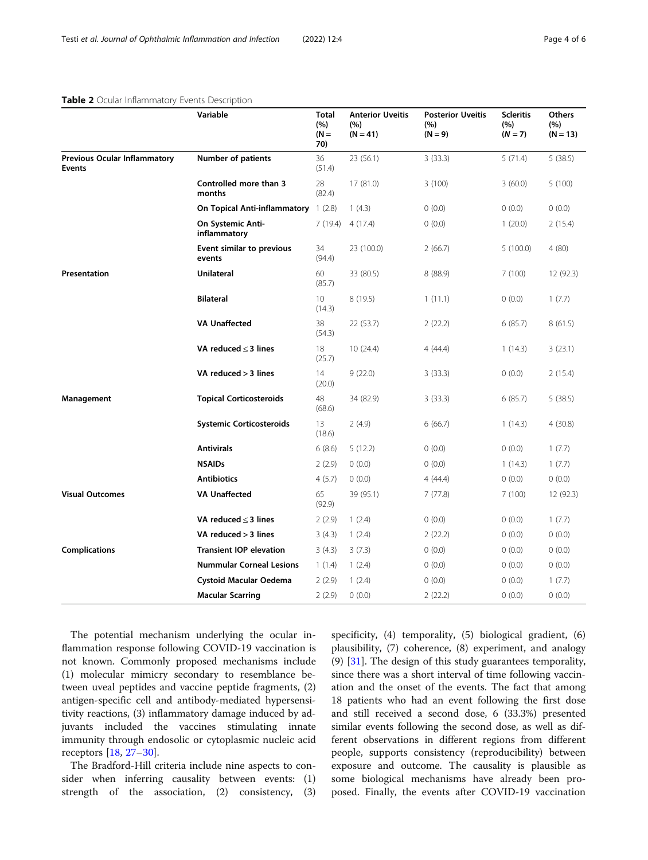## <span id="page-3-0"></span>Table 2 Ocular Inflammatory Events Description

|                                                      | Variable                             | <b>Total</b><br>(%)<br>$(N =$<br>70) | <b>Anterior Uveitis</b><br>(%)<br>$(N = 41)$ | <b>Posterior Uveitis</b><br>(%)<br>$(N = 9)$ | <b>Scleritis</b><br>(%)<br>$(N = 7)$ | <b>Others</b><br>(%)<br>$(N = 13)$ |
|------------------------------------------------------|--------------------------------------|--------------------------------------|----------------------------------------------|----------------------------------------------|--------------------------------------|------------------------------------|
| <b>Previous Ocular Inflammatory</b><br><b>Events</b> | <b>Number of patients</b>            | 36<br>(51.4)                         | 23 (56.1)                                    | 3(33.3)                                      | 5(71.4)                              | 5(38.5)                            |
|                                                      | Controlled more than 3<br>months     | 28<br>(82.4)                         | 17(81.0)                                     | 3(100)                                       | 3(60.0)                              | 5(100)                             |
|                                                      | On Topical Anti-inflammatory 1 (2.8) |                                      | 1(4.3)                                       | 0(0.0)                                       | (0.0)                                | (0.0)                              |
|                                                      | On Systemic Anti-<br>inflammatory    | 7(19.4)                              | 4 (17.4)                                     | 0(0.0)                                       | 1(20.0)                              | 2(15.4)                            |
|                                                      | Event similar to previous<br>events  | 34<br>(94.4)                         | 23 (100.0)                                   | 2(66.7)                                      | 5(100.0)                             | 4(80)                              |
| Presentation                                         | <b>Unilateral</b>                    | 60<br>(85.7)                         | 33 (80.5)                                    | 8(88.9)                                      | 7(100)                               | 12 (92.3)                          |
|                                                      | <b>Bilateral</b>                     | 10<br>(14.3)                         | 8 (19.5)                                     | 1(11.1)                                      | (0.0)                                | 1(7.7)                             |
|                                                      | <b>VA Unaffected</b>                 | 38<br>(54.3)                         | 22 (53.7)                                    | 2(22.2)                                      | 6(85.7)                              | 8(61.5)                            |
|                                                      | VA reduced $\leq$ 3 lines            | 18<br>(25.7)                         | 10(24.4)                                     | 4(44.4)                                      | 1(14.3)                              | 3(23.1)                            |
|                                                      | VA reduced > 3 lines                 | 14<br>(20.0)                         | 9(22.0)                                      | 3(33.3)                                      | 0(0.0)                               | 2(15.4)                            |
| Management                                           | <b>Topical Corticosteroids</b>       | 48<br>(68.6)                         | 34 (82.9)                                    | 3(33.3)                                      | 6(85.7)                              | 5(38.5)                            |
|                                                      | <b>Systemic Corticosteroids</b>      | 13<br>(18.6)                         | 2(4.9)                                       | 6(66.7)                                      | 1(14.3)                              | 4(30.8)                            |
|                                                      | <b>Antivirals</b>                    | 6(8.6)                               | 5(12.2)                                      | 0(0.0)                                       | 0(0.0)                               | 1(7.7)                             |
|                                                      | <b>NSAIDs</b>                        | 2(2.9)                               | 0(0.0)                                       | 0(0.0)                                       | 1(14.3)                              | 1(7.7)                             |
|                                                      | <b>Antibiotics</b>                   | 4(5.7)                               | 0(0.0)                                       | 4(44.4)                                      | (0.0)                                | (0.0)                              |
| <b>Visual Outcomes</b>                               | <b>VA Unaffected</b>                 | 65<br>(92.9)                         | 39 (95.1)                                    | 7(77.8)                                      | 7(100)                               | 12 (92.3)                          |
|                                                      | VA reduced $\leq$ 3 lines            | 2(2.9)                               | 1(2.4)                                       | (0.0)                                        | (0.0)                                | 1(7.7)                             |
|                                                      | VA reduced > 3 lines                 | 3(4.3)                               | 1(2.4)                                       | 2(22.2)                                      | 0(0.0)                               | (0.0)                              |
| <b>Complications</b>                                 | <b>Transient IOP elevation</b>       | 3(4.3)                               | 3(7.3)                                       | 0(0.0)                                       | (0.0)                                | 0(0.0)                             |
|                                                      | <b>Nummular Corneal Lesions</b>      | 1(1.4)                               | 1(2.4)                                       | 0(0.0)                                       | (0.0)                                | (0.0)                              |
|                                                      | <b>Cystoid Macular Oedema</b>        | 2(2.9)                               | 1(2.4)                                       | 0(0.0)                                       | 0(0.0)                               | 1(7.7)                             |
|                                                      | <b>Macular Scarring</b>              | 2(2.9)                               | 0(0.0)                                       | 2(22.2)                                      | 0(0.0)                               | 0(0.0)                             |

The potential mechanism underlying the ocular inflammation response following COVID-19 vaccination is not known. Commonly proposed mechanisms include (1) molecular mimicry secondary to resemblance between uveal peptides and vaccine peptide fragments, (2) antigen-specific cell and antibody-mediated hypersensitivity reactions, (3) inflammatory damage induced by adjuvants included the vaccines stimulating innate immunity through endosolic or cytoplasmic nucleic acid receptors [[18](#page-5-0), [27](#page-5-0)–[30](#page-5-0)].

The Bradford-Hill criteria include nine aspects to consider when inferring causality between events: (1) strength of the association, (2) consistency, (3) specificity, (4) temporality, (5) biological gradient, (6) plausibility, (7) coherence, (8) experiment, and analogy (9) [\[31](#page-5-0)]. The design of this study guarantees temporality, since there was a short interval of time following vaccination and the onset of the events. The fact that among 18 patients who had an event following the first dose and still received a second dose, 6 (33.3%) presented similar events following the second dose, as well as different observations in different regions from different people, supports consistency (reproducibility) between exposure and outcome. The causality is plausible as some biological mechanisms have already been proposed. Finally, the events after COVID-19 vaccination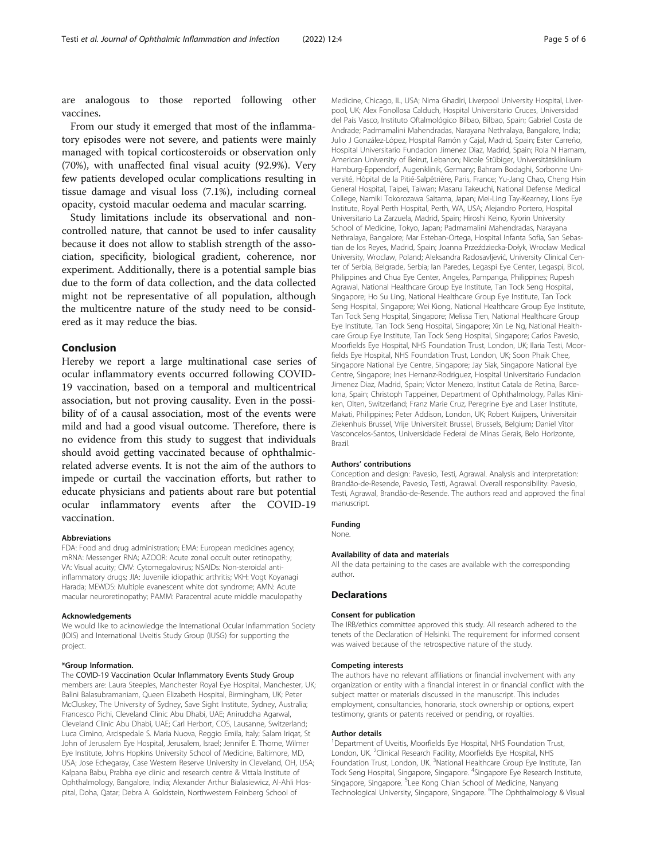are analogous to those reported following other vaccines.

From our study it emerged that most of the inflammatory episodes were not severe, and patients were mainly managed with topical corticosteroids or observation only (70%), with unaffected final visual acuity (92.9%). Very few patients developed ocular complications resulting in tissue damage and visual loss (7.1%), including corneal opacity, cystoid macular oedema and macular scarring.

Study limitations include its observational and noncontrolled nature, that cannot be used to infer causality because it does not allow to stablish strength of the association, specificity, biological gradient, coherence, nor experiment. Additionally, there is a potential sample bias due to the form of data collection, and the data collected might not be representative of all population, although the multicentre nature of the study need to be considered as it may reduce the bias.

## Conclusion

Hereby we report a large multinational case series of ocular inflammatory events occurred following COVID-19 vaccination, based on a temporal and multicentrical association, but not proving causality. Even in the possibility of of a causal association, most of the events were mild and had a good visual outcome. Therefore, there is no evidence from this study to suggest that individuals should avoid getting vaccinated because of ophthalmicrelated adverse events. It is not the aim of the authors to impede or curtail the vaccination efforts, but rather to educate physicians and patients about rare but potential ocular inflammatory events after the COVID-19 vaccination.

#### Abbreviations

FDA: Food and drug administration; EMA: European medicines agency; mRNA: Messenger RNA; AZOOR: Acute zonal occult outer retinopathy; VA: Visual acuity; CMV: Cytomegalovirus; NSAIDs: Non-steroidal antiinflammatory drugs; JIA: Juvenile idiopathic arthritis; VKH: Vogt Koyanagi Harada; MEWDS: Multiple evanescent white dot syndrome; AMN: Acute macular neuroretinopathy; PAMM: Paracentral acute middle maculopathy

#### Acknowledgements

We would like to acknowledge the International Ocular Inflammation Society (IOIS) and International Uveitis Study Group (IUSG) for supporting the project.

#### \*Group Information.

The COVID-19 Vaccination Ocular Inflammatory Events Study Group members are: Laura Steeples, Manchester Royal Eye Hospital, Manchester, UK; Balini Balasubramaniam, Queen Elizabeth Hospital, Birmingham, UK; Peter McCluskey, The University of Sydney, Save Sight Institute, Sydney, Australia; Francesco Pichi, Cleveland Clinic Abu Dhabi, UAE; Aniruddha Agarwal, Cleveland Clinic Abu Dhabi, UAE; Carl Herbort, COS, Lausanne, Switzerland; Luca Cimino, Arcispedale S. Maria Nuova, Reggio Emila, Italy; Salam Iriqat, St John of Jerusalem Eye Hospital, Jerusalem, Israel; Jennifer E. Thorne, Wilmer Eye Institute, Johns Hopkins University School of Medicine, Baltimore, MD, USA; Jose Echegaray, Case Western Reserve University in Cleveland, OH, USA; Kalpana Babu, Prabha eye clinic and research centre & Vittala Institute of Ophthalmology, Bangalore, India; Alexander Arthur Bialasiewicz, Al-Ahli Hospital, Doha, Qatar; Debra A. Goldstein, Northwestern Feinberg School of

Medicine, Chicago, IL, USA; Nima Ghadiri, Liverpool University Hospital, Liverpool, UK; Alex Fonollosa Calduch, Hospital Universitario Cruces, Universidad del País Vasco, Instituto Oftalmológico Bilbao, Bilbao, Spain; Gabriel Costa de Andrade; Padmamalini Mahendradas, Narayana Nethralaya, Bangalore, India; Julio J González-López, Hospital Ramón y Cajal, Madrid, Spain; Ester Carreño, Hospital Universitario Fundacion Jimenez Diaz, Madrid, Spain; Rola N Hamam, American University of Beirut, Lebanon; Nicole Stübiger, Universitätsklinikum Hamburg-Eppendorf, Augenklinik, Germany; Bahram Bodaghi, Sorbonne Université, Hôpital de la Pitié-Salpêtrière, Paris, France; Yu-Jang Chao, Cheng Hsin General Hospital, Taipei, Taiwan; Masaru Takeuchi, National Defense Medical College, Namiki Tokorozawa Saitama, Japan; Mei-Ling Tay-Kearney, Lions Eye Institute, Royal Perth Hospital, Perth, WA, USA; Alejandro Portero, Hospital Universitario La Zarzuela, Madrid, Spain; Hiroshi Keino, Kyorin University School of Medicine, Tokyo, Japan; Padmamalini Mahendradas, Narayana Nethralaya, Bangalore; Mar Esteban-Ortega, Hospital Infanta Sofia, San Sebastian de los Reyes, Madrid, Spain; Joanna Przeździecka-Dołyk, Wrocław Medical University, Wroclaw, Poland; Aleksandra Radosavljević, University Clinical Center of Serbia, Belgrade, Serbia; Ian Paredes, Legaspi Eye Center, Legaspi, Bicol, Philippines and Chua Eye Center, Angeles, Pampanga, Philippines; Rupesh Agrawal, National Healthcare Group Eye Institute, Tan Tock Seng Hospital, Singapore; Ho Su Ling, National Healthcare Group Eye Institute, Tan Tock Seng Hospital, Singapore; Wei Kiong, National Healthcare Group Eye Institute, Tan Tock Seng Hospital, Singapore; Melissa Tien, National Healthcare Group Eye Institute, Tan Tock Seng Hospital, Singapore; Xin Le Ng, National Healthcare Group Eye Institute, Tan Tock Seng Hospital, Singapore; Carlos Pavesio, Moorfields Eye Hospital, NHS Foundation Trust, London, UK; Ilaria Testi, Moorfields Eye Hospital, NHS Foundation Trust, London, UK; Soon Phaik Chee, Singapore National Eye Centre, Singapore; Jay Siak, Singapore National Eye Centre, Singapore; Ines Hernanz-Rodriguez, Hospital Universitario Fundacion Jimenez Diaz, Madrid, Spain; Victor Menezo, Institut Catala de Retina, Barcelona, Spain; Christoph Tappeiner, Department of Ophthalmology, Pallas Kliniken, Olten, Switzerland; Franz Marie Cruz, Peregrine Eye and Laser Institute, Makati, Philippines; Peter Addison, London, UK; Robert Kuijpers, Universitair Ziekenhuis Brussel, Vrije Universiteit Brussel, Brussels, Belgium; Daniel Vitor Vasconcelos-Santos, Universidade Federal de Minas Gerais, Belo Horizonte, Brazil.

#### Authors' contributions

Conception and design: Pavesio, Testi, Agrawal. Analysis and interpretation: Brandão-de-Resende, Pavesio, Testi, Agrawal. Overall responsibility: Pavesio, Testi, Agrawal, Brandão-de-Resende. The authors read and approved the final manuscript.

#### Funding

None.

#### Availability of data and materials

All the data pertaining to the cases are available with the corresponding author.

#### Declarations

#### Consent for publication

The IRB/ethics committee approved this study. All research adhered to the tenets of the Declaration of Helsinki. The requirement for informed consent was waived because of the retrospective nature of the study.

#### Competing interests

The authors have no relevant affiliations or financial involvement with any organization or entity with a financial interest in or financial conflict with the subject matter or materials discussed in the manuscript. This includes employment, consultancies, honoraria, stock ownership or options, expert testimony, grants or patents received or pending, or royalties.

#### Author details

<sup>1</sup> Department of Uveitis, Moorfields Eye Hospital, NHS Foundation Trust, London, UK. <sup>2</sup>Clinical Research Facility, Moorfields Eye Hospital, NHS Foundation Trust, London, UK.<sup>3</sup>National Healthcare Group Eye Institute, Tan Tock Seng Hospital, Singapore, Singapore. <sup>4</sup>Singapore Eye Research Institute Singapore, Singapore. <sup>5</sup>Lee Kong Chian School of Medicine, Nanyang Technological University, Singapore, Singapore. <sup>6</sup>The Ophthalmology & Visual